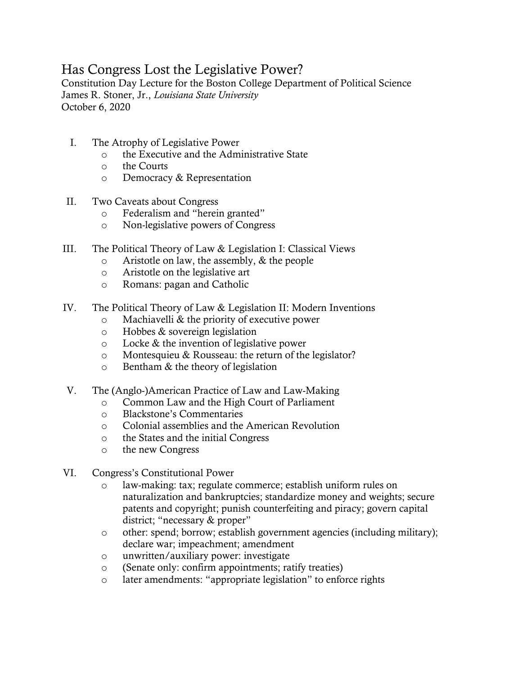## Has Congress Lost the Legislative Power?

Constitution Day Lecture for the Boston College Department of Political Science James R. Stoner, Jr., *Louisiana State University* October 6, 2020

- I. The Atrophy of Legislative Power
	- o the Executive and the Administrative State
	- o the Courts
	- o Democracy & Representation
- II. Two Caveats about Congress
	- o Federalism and "herein granted"
	- o Non-legislative powers of Congress
- III. The Political Theory of Law & Legislation I: Classical Views
	- o Aristotle on law, the assembly, & the people
	- o Aristotle on the legislative art
	- o Romans: pagan and Catholic
- IV. The Political Theory of Law & Legislation II: Modern Inventions
	- o Machiavelli & the priority of executive power
	- o Hobbes & sovereign legislation
	- o Locke & the invention of legislative power
	- o Montesquieu & Rousseau: the return of the legislator?
	- o Bentham & the theory of legislation
- V. The (Anglo-)American Practice of Law and Law-Making
	- o Common Law and the High Court of Parliament
	- o Blackstone's Commentaries
	- o Colonial assemblies and the American Revolution
	- o the States and the initial Congress
	- o the new Congress
- VI. Congress's Constitutional Power
	- o law-making: tax; regulate commerce; establish uniform rules on naturalization and bankruptcies; standardize money and weights; secure patents and copyright; punish counterfeiting and piracy; govern capital district; "necessary & proper"
	- o other: spend; borrow; establish government agencies (including military); declare war; impeachment; amendment
	- o unwritten/auxiliary power: investigate
	- o (Senate only: confirm appointments; ratify treaties)
	- o later amendments: "appropriate legislation" to enforce rights